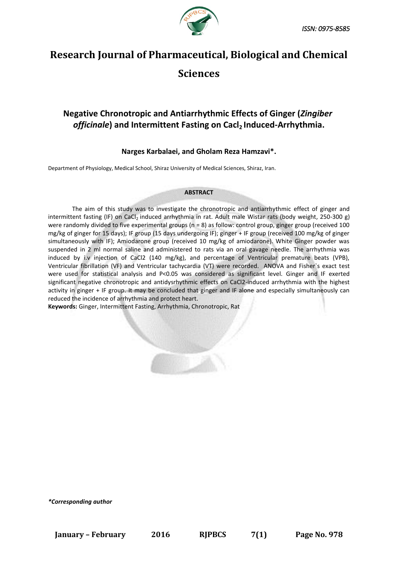

# **Research Journal of Pharmaceutical, Biological and Chemical Sciences**

## **Negative Chronotropic and Antiarrhythmic Effects of Ginger (***Zingiber officinale***) and Intermittent Fasting on Cacl2 Induced-Arrhythmia.**

### **Narges Karbalaei, and Gholam Reza Hamzavi\*.**

Department of Physiology, Medical School, Shiraz University of Medical Sciences, Shiraz, Iran.

#### **ABSTRACT**

The aim of this study was to investigate the chronotropic and antiarrhythmic effect of ginger and intermittent fasting (IF) on CaCl<sub>2</sub> induced arrhythmia in rat. Adult male Wistar rats (body weight, 250-300 g) were randomly divided to five experimental groups (n = 8) as follow: control group, ginger group (received 100 mg/kg of ginger for 15 days); IF group (15 days undergoing IF); ginger + IF group (received 100 mg/kg of ginger simultaneously with IF); Amiodarone group (received 10 mg/kg of amiodarone). White Ginger powder was suspended in 2 ml normal saline and administered to rats via an oral gavage needle. The arrhythmia was induced by i.v injection of CaCl2 (140 mg/kg), and percentage of Ventricular premature beats (VPB), Ventricular fibrillation (VF) and Ventricular tachycardia (VT) were recorded. ANOVA and Fisher`s exact test were used for statistical analysis and P<0.05 was considered as significant level. Ginger and IF exerted significant negative chronotropic and antidysrhythmic effects on CaCl2-induced arrhythmia with the highest activity in ginger + IF group. It may be concluded that ginger and IF alone and especially simultaneously can reduced the incidence of arrhythmia and protect heart.

**Keywords:** Ginger, Intermittent Fasting, Arrhythmia, Chronotropic, Rat

*\*Corresponding author*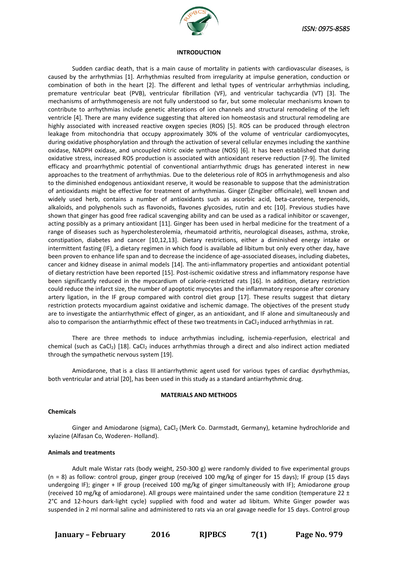

#### **INTRODUCTION**

Sudden cardiac death, that is a main cause of mortality in patients with cardiovascular diseases, is caused by the arrhythmias [1]. Arrhythmias resulted from irregularity at impulse generation, conduction or combination of both in the heart [2]. The different and lethal types of ventricular arrhythmias including, premature ventricular beat (PVB), ventricular fibrillation (VF), and ventricular tachycardia (VT) [3]. The mechanisms of arrhythmogenesis are not fully understood so far, but some molecular mechanisms known to contribute to arrhythmias include genetic alterations of ion channels and structural remodeling of the left ventricle [4]. There are many evidence suggesting that altered ion homeostasis and structural remodeling are highly associated with increased reactive oxygen species (ROS) [5]. ROS can be produced through electron leakage from mitochondria that occupy approximately 30% of the volume of ventricular cardiomyocytes, during oxidative phosphorylation and through the activation of several cellular enzymes including the xanthine oxidase, NADPH oxidase, and uncoupled nitric oxide synthase (NOS) [6]. It has been established that during oxidative stress, increased ROS production is associated with antioxidant reserve reduction [7-9]. The limited efficacy and proarrhythmic potential of conventional antiarrhythmic drugs has generated interest in new approaches to the treatment of arrhythmias. Due to the deleterious role of ROS in arrhythmogenesis and also to the diminished endogenous antioxidant reserve, it would be reasonable to suppose that the administration of antioxidants might be effective for treatment of arrhythmias. Ginger (Zingiber officinale), well known and widely used herb, contains a number of antioxidants such as ascorbic acid, beta-carotene, terpenoids, alkaloids, and polyphenols such as flavonoids, flavones glycosides, rutin and etc [10]. Previous studies have shown that ginger has good free radical scavenging ability and can be used as a radical inhibitor or scavenger, acting possibly as a primary antioxidant [11]. Ginger has been used in herbal medicine for the treatment of a range of diseases such as hypercholesterolemia, rheumatoid arthritis, neurological diseases, asthma, stroke, constipation, diabetes and cancer [10,12,13]. Dietary restrictions, either a diminished energy intake or intermittent fasting (IF), a dietary regimen in which food is available ad libitum but only every other day, have been proven to enhance life span and to decrease the incidence of age-associated diseases, including diabetes, cancer and kidney disease in animal models [14]. The anti-inflammatory properties and antioxidant potential of dietary restriction have been reported [15]. Post-ischemic oxidative stress and inflammatory response have been significantly reduced in the myocardium of calorie-restricted rats [16]. In addition, dietary restriction could reduce the infarct size, the number of apoptotic myocytes and the inflammatory response after coronary artery ligation, in the IF group compared with control diet group [17]. These results suggest that dietary restriction protects myocardium against oxidative and ischemic damage. The objectives of the present study are to investigate the antiarrhythmic effect of ginger, as an antioxidant, and IF alone and simultaneously and also to comparison the antiarrhythmic effect of these two treatments in CaCl<sub>2</sub> induced arrhythmias in rat.

There are three methods to induce arrhythmias including, ischemia-reperfusion, electrical and chemical (such as CaCl<sub>2</sub>) [18]. CaCl<sub>2</sub> induces arrhythmias through a direct and also indirect action mediated through the sympathetic nervous system [19].

Amiodarone, that is a class III [antiarrhythmic agent](https://en.wikipedia.org/wiki/Antiarrhythmic_agent) used for various types of [cardiac dysrhythmias,](https://en.wikipedia.org/wiki/Cardiac_dysrhythmia) both [ventricular](https://en.wikipedia.org/wiki/Tachyarrhythmia#Ventricular) and [atrial](https://en.wikipedia.org/wiki/Tachyarrhythmia#Atrial) [20], has been used in this study as a standard antiarrhythmic drug.

#### **MATERIALS AND METHODS**

#### **Chemicals**

Ginger and Amiodarone (sigma), CaCl<sub>2</sub> (Merk Co. Darmstadt, Germany), ketamine hydrochloride and xylazine (Alfasan Co, Woderen- Holland).

#### **Animals and treatments**

Adult male Wistar rats (body weight, 250-300 g) were randomly divided to five experimental groups (n = 8) as follow: control group, ginger group (received 100 mg/kg of ginger for 15 days); IF group (15 days undergoing IF); ginger + IF group (received 100 mg/kg of ginger simultaneously with IF); Amiodarone group (received 10 mg/kg of amiodarone). All groups were maintained under the same condition (temperature 22  $\pm$ 2°C and 12-hours dark-light cycle) supplied with food and water ad libitum. White Ginger powder was suspended in 2 ml normal saline and administered to rats via an oral gavage needle for 15 days. Control group

**January – February 2016 RJPBCS 7(1) Page No. 979**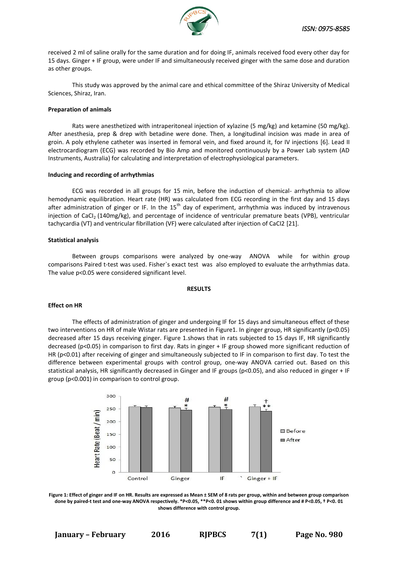

received 2 ml of saline orally for the same duration and for doing IF, animals received food every other day for 15 days. Ginger + IF group, were under IF and simultaneously received ginger with the same dose and duration as other groups.

This study was approved by the animal care and ethical committee of the Shiraz University of Medical Sciences, Shiraz, Iran.

#### **Preparation of animals**

Rats were anesthetized with intraperitoneal injection of xylazine (5 mg/kg) and ketamine (50 mg/kg). After anesthesia, prep & drep with betadine were done. Then, a longitudinal incision was made in area of groin. A poly ethylene catheter was inserted in femoral vein, and fixed around it, for IV injections [6]. Lead II electrocardiogram (ECG) was recorded by Bio Amp and monitored continuously by a Power Lab system (AD Instruments, Australia) for calculating and interpretation of electrophysiological parameters.

#### **Inducing and recording of arrhythmias**

ECG was recorded in all groups for 15 min, before the induction of chemical- arrhythmia to allow hemodynamic equilibration. Heart rate (HR) was calculated from ECG recording in the first day and 15 days after administration of ginger or IF. In the  $15<sup>th</sup>$  day of experiment, arrhythmia was induced by intravenous injection of CaCI<sub>2</sub> (140mg/kg), and percentage of incidence of ventricular premature beats (VPB), ventricular tachycardia (VT) and ventricular fibrillation (VF) were calculated after injection of CaCI2 [21].

#### **Statistical analysis**

Between groups comparisons were analyzed by one-way ANOVA while for within group comparisons Paired t-test was used. Fisher`s exact test was also employed to evaluate the arrhythmias data. The value p<0.05 were considered significant level.

#### **RESULTS**

#### **Effect on HR**

The effects of administration of ginger and undergoing IF for 15 days and simultaneous effect of these two interventions on HR of male Wistar rats are presented in Figure1. In ginger group, HR significantly (p<0.05) decreased after 15 days receiving ginger. Figure 1.shows that in rats subjected to 15 days IF, HR significantly decreased (p<0.05) in comparison to first day. Rats in ginger + IF group showed more significant reduction of HR (p<0.01) after receiving of ginger and simultaneously subjected to IF in comparison to first day. To test the difference between experimental groups with control group, one-way ANOVA carried out. Based on this statistical analysis, HR significantly decreased in Ginger and IF groups (p<0.05), and also reduced in ginger + IF group (p<0.001) in comparison to control group.



**Figure 1: Effect of ginger and IF on HR. Results are expressed as Mean ± SEM of 8 rats per group, within and between group comparison done by paired-t test and one-way ANOVA respectively. \*P<0.05, \*\*P<0. 01 shows within group difference and # P<0.05, † P<0. 01 shows difference with control group.**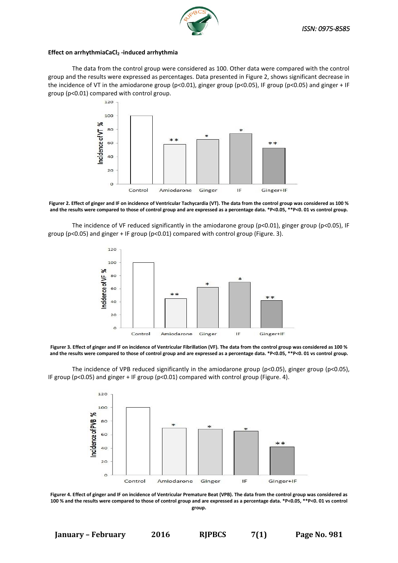

#### **Effect on arrhythmiaCaCl<sup>2</sup> -induced arrhythmia**

The data from the control group were considered as 100. Other data were compared with the control group and the results were expressed as percentages. Data presented in Figure 2, shows significant decrease in the incidence of VT in the amiodarone group (p<0.01), ginger group (p<0.05), IF group (p<0.05) and ginger + IF group (p<0.01) compared with control group.



**Figurer 2. Effect of ginger and IF on incidence of Ventricular Tachycardia (VT). The data from the control group was considered as 100 % and the results were compared to those of control group and are expressed as a percentage data. \*P<0.05, \*\*P<0. 01 vs control group.**

The incidence of VF reduced significantly in the amiodarone group (p<0.01), ginger group (p<0.05), IF group ( $p$ <0.05) and ginger + IF group ( $p$ <0.01) compared with control group (Figure. 3).



**Figurer 3. Effect of ginger and IF on incidence of Ventricular Fibrillation (VF). The data from the control group was considered as 100 % and the results were compared to those of control group and are expressed as a percentage data. \*P<0.05, \*\*P<0. 01 vs control group.**

The incidence of VPB reduced significantly in the amiodarone group (p<0.05), ginger group (p<0.05), IF group ( $p<0.05$ ) and ginger + IF group ( $p<0.01$ ) compared with control group (Figure. 4).



**Figurer 4. Effect of ginger and IF on incidence of Ventricular Premature Beat (VPB). The data from the control group was considered as 100 % and the results were compared to those of control group and are expressed as a percentage data. \*P<0.05, \*\*P<0. 01 vs control group.**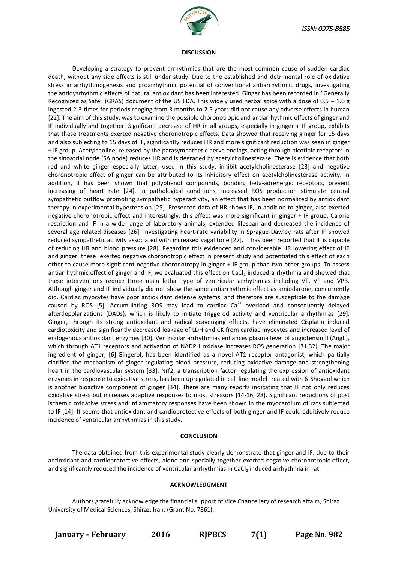

#### **DISCUSSION**

Developing a strategy to prevent arrhythmias that are the most common cause of sudden cardiac death, without any side effects is still under study. Due to the established and detrimental role of oxidative stress in arrhythmogenesis and proarrhythmic potential of conventional antiarrhythmic drugs, investigating the antidysrhythmic effects of natural antioxidant has been interested. Ginger has been recorded in "Generally Recognized as Safe" (GRAS) document of the US FDA. This widely used herbal spice with a dose of  $0.5 - 1.0$  g ingested 2-3 times for periods ranging from 3 months to 2.5 years did not cause any adverse effects in human [22]. The aim of this study, was to examine the possible choronotropic and antiarrhythmic effects of ginger and IF individually and together. Significant decrease of HR in all groups, especially in ginger + IF group, exhibits that these treatments exerted negative choronotropic effects. Data showed that receiving ginger for 15 days and also subjecting to 15 days of IF, significantly reduces HR and more significant reduction was seen in ginger + IF group. Acetylcholine, released by the parasympathetic nerve endings, acting through nicotinic receptors in the sinoatrial node (SA node) reduces HR and is degraded by acetylcholinesterase. There is evidence that both red and white ginger especially latter, used in this study, inhibit acetylcholinesterase [23] and negative choronotropic effect of ginger can be attributed to its inhibitory effect on acetylcholinesterase activity. In addition, it has been shown that polyphenol compounds, bonding beta-adrenergic receptors, prevent increasing of heart rate [24]. In pathological conditions, increased ROS production stimulate central sympathetic outflow promoting sympathetic hyperactivity, an effect that has been normalized by antioxidant therapy in experimental hypertension [25]. Presented data of HR shows IF, in addition to ginger, also exerted negative choronotropic effect and interestingly, this effect was more significant in ginger + IF group. Calorie restriction and IF in a wide range of laboratory animals, extended lifespan and decreased the incidence of several age-related diseases [26]. Investigating heart-rate variability in Sprague-Dawley rats after IF showed reduced sympathetic activity associated with increased vagal tone [27]. It has been reported that IF is capable of reducing HR and blood pressure [28]. Regarding this evidenced and considerable HR lowering effect of IF and ginger, these exerted negative choronotropic effect in present study and potentiated this effect of each other to cause more significant negative choronotropy in ginger + IF group than two other groups. To assess antiarrhythmic effect of ginger and IF, we evaluated this effect on CaCl<sub>2</sub> induced arrhythmia and showed that these interventions reduce three main lethal type of ventricular arrhythmias including VT, VF and VPB. Although ginger and IF individually did not show the same antiarrhythmic effect as amiodarone, concurrently did. Cardiac myocytes have poor antioxidant defense systems, and therefore are susceptible to the damage caused by ROS [5]. Accumulating ROS may lead to cardiac  $Ca<sup>2+</sup>$  overload and consequently delayed afterdepolarizations (DADs), which is likely to initiate triggered activity and ventricular arrhythmias [29]. Ginger, through its strong antioxidant and radical scavenging effects, have eliminated Cisplatin induced cardiotoxicity and significantly decreased leakage of LDH and CK from cardiac myocytes and increased level of endogenous antioxidant enzymes [30]. Ventricular arrhythmias enhances plasma level of angiotensin II (AngII), which through AT1 receptors and activation of NADPH oxidase increases ROS generation [31,32]. The major ingredient of ginger, [6]-Gingerol, has been identified as a novel AT1 receptor antagonist, which partially clarified the mechanism of ginger regulating blood pressure, reducing oxidative damage and strengthening heart in the cardiovascular system [33]. Nrf2, a transcription factor regulating the expression of antioxidant enzymes in response to oxidative stress, has been upregulated in cell line model treated with 6-Shogaol which is another bioactive component of ginger [34]. There are many reports indicating that IF not only reduces oxidative stress but increases adaptive responses to most stressors [14-16, 28]. Significant reductions of post ischemic oxidative stress and inflammatory responses have been shown in the myocardium of rats subjected to IF [14]. It seems that antioxidant and cardioprotective effects of both ginger and IF could additively reduce incidence of ventricular arrhythmias in this study.

#### **CONCLUSION**

The data obtained from this experimental study clearly demonstrate that ginger and IF, due to their antioxidant and cardioprotective effects, alone and specially together exerted negative choronotropic effect, and significantly reduced the incidence of ventricular arrhythmias in CaCl<sub>2</sub> induced arrhythmia in rat.

#### **ACKNOWLEDGMENT**

Authors gratefully acknowledge the financial support of Vice Chancellery of research affairs, Shiraz University of Medical Sciences, Shiraz, Iran. (Grant No. 7861).